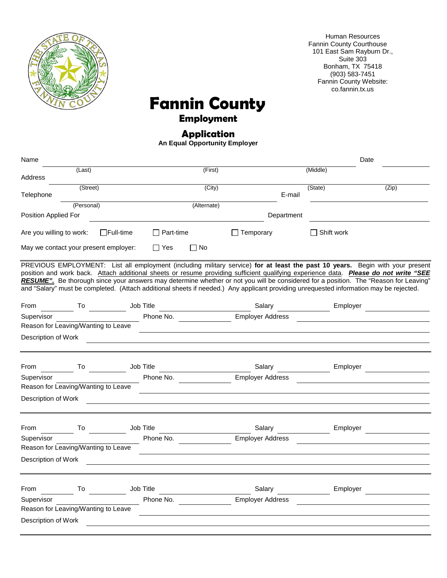

Human Resources Fannin County Courthouse 101 East Sam Rayburn Dr., Suite 303 Bonham, TX 75418 (903) 583-7451 Fannin County Website: co.fannin.tx.us

### **Fannin County**

### **Employment**

### **Application**

**An Equal Opportunity Employer**

| Name                                  |                  |                  |             |                                                                                                                                        |                   | Date                                                                                                                                                                                                                                                                                                                                                                                                          |
|---------------------------------------|------------------|------------------|-------------|----------------------------------------------------------------------------------------------------------------------------------------|-------------------|---------------------------------------------------------------------------------------------------------------------------------------------------------------------------------------------------------------------------------------------------------------------------------------------------------------------------------------------------------------------------------------------------------------|
| (Last)<br>Address                     |                  |                  | (First)     |                                                                                                                                        | (Middle)          |                                                                                                                                                                                                                                                                                                                                                                                                               |
| (Street)<br>Telephone                 |                  |                  | (City)      | E-mail                                                                                                                                 | (State)           | (Zip)                                                                                                                                                                                                                                                                                                                                                                                                         |
| (Personal)                            |                  |                  | (Alternate) |                                                                                                                                        |                   |                                                                                                                                                                                                                                                                                                                                                                                                               |
| Position Applied For                  |                  |                  |             | Department                                                                                                                             |                   |                                                                                                                                                                                                                                                                                                                                                                                                               |
| Are you willing to work:              | $\Box$ Full-time | $\Box$ Part-time |             | $\Box$ Temporary                                                                                                                       | $\Box$ Shift work |                                                                                                                                                                                                                                                                                                                                                                                                               |
| May we contact your present employer: |                  | Yes              | $\Box$ No   |                                                                                                                                        |                   |                                                                                                                                                                                                                                                                                                                                                                                                               |
|                                       |                  |                  |             | and "Salary" must be completed. (Attach additional sheets if needed.) Any applicant providing unrequested information may be rejected. |                   | PREVIOUS EMPLOYMENT: List all employment (including military service) for at least the past 10 years. Begin with your present<br>position and work back. Attach additional sheets or resume providing sufficient qualifying experience data. Please do not write "SEE<br>RESUME". Be thorough since your answers may determine whether or not you will be considered for a position. The "Reason for Leaving" |
| From<br><b>To</b>                     | Job Title        |                  |             | Salary                                                                                                                                 | Employer          |                                                                                                                                                                                                                                                                                                                                                                                                               |
| Supervisor                            |                  |                  | Phone No.   | <b>Employer Address</b>                                                                                                                |                   |                                                                                                                                                                                                                                                                                                                                                                                                               |
| Reason for Leaving/Wanting to Leave   |                  |                  |             |                                                                                                                                        |                   |                                                                                                                                                                                                                                                                                                                                                                                                               |
| Description of Work                   |                  |                  |             | <u> 1980 - Johann Barn, mars eta bainar eta industrial eta baina eta baina eta baina eta baina eta baina eta bain</u>                  |                   |                                                                                                                                                                                                                                                                                                                                                                                                               |
|                                       |                  |                  |             |                                                                                                                                        |                   |                                                                                                                                                                                                                                                                                                                                                                                                               |
|                                       |                  |                  |             |                                                                                                                                        |                   |                                                                                                                                                                                                                                                                                                                                                                                                               |
| From<br>To                            |                  | Job Title        |             | Salary                                                                                                                                 | Employer          |                                                                                                                                                                                                                                                                                                                                                                                                               |
| Supervisor                            |                  |                  | Phone No.   | <b>Employer Address</b>                                                                                                                |                   |                                                                                                                                                                                                                                                                                                                                                                                                               |
| Reason for Leaving/Wanting to Leave   |                  |                  |             |                                                                                                                                        |                   |                                                                                                                                                                                                                                                                                                                                                                                                               |
| Description of Work                   |                  |                  |             |                                                                                                                                        |                   |                                                                                                                                                                                                                                                                                                                                                                                                               |
| From<br>To                            |                  | Job Title        |             | Salary                                                                                                                                 | Employer          |                                                                                                                                                                                                                                                                                                                                                                                                               |
| Supervisor                            |                  | Phone No.        |             | <b>Employer Address</b>                                                                                                                |                   |                                                                                                                                                                                                                                                                                                                                                                                                               |
| Reason for Leaving/Wanting to Leave   |                  |                  |             |                                                                                                                                        |                   |                                                                                                                                                                                                                                                                                                                                                                                                               |
| Description of Work                   |                  |                  |             |                                                                                                                                        |                   |                                                                                                                                                                                                                                                                                                                                                                                                               |
|                                       |                  |                  |             |                                                                                                                                        |                   |                                                                                                                                                                                                                                                                                                                                                                                                               |
| From<br>To                            |                  | Job Title        |             | Salary                                                                                                                                 | Employer          |                                                                                                                                                                                                                                                                                                                                                                                                               |
| Supervisor                            |                  | Phone No.        |             | <b>Employer Address</b>                                                                                                                |                   |                                                                                                                                                                                                                                                                                                                                                                                                               |
| Reason for Leaving/Wanting to Leave   |                  |                  |             |                                                                                                                                        |                   |                                                                                                                                                                                                                                                                                                                                                                                                               |
| Description of Work                   |                  |                  |             |                                                                                                                                        |                   |                                                                                                                                                                                                                                                                                                                                                                                                               |
|                                       |                  |                  |             |                                                                                                                                        |                   |                                                                                                                                                                                                                                                                                                                                                                                                               |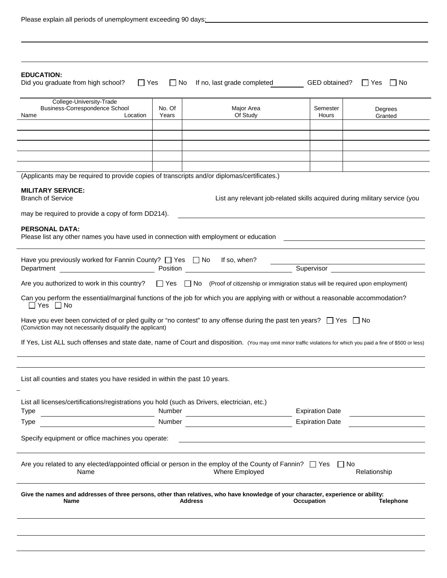|  | Please explain all periods of unemployment exceeding 90 days: |
|--|---------------------------------------------------------------|
|  |                                                               |

| <b>EDUCATION:</b><br>Did you graduate from high school?<br>$\Box$ Yes                                                                                                                                                               |                 | $\Box$ No If no, last grade completed                                      | GED obtained?     | $\Box$ Yes<br>∣∣No |  |
|-------------------------------------------------------------------------------------------------------------------------------------------------------------------------------------------------------------------------------------|-----------------|----------------------------------------------------------------------------|-------------------|--------------------|--|
| College-University-Trade                                                                                                                                                                                                            |                 |                                                                            |                   |                    |  |
| Business-Correspondence School<br>Location<br>Name                                                                                                                                                                                  | No. Of<br>Years | Major Area<br>Of Study                                                     | Semester<br>Hours | Degrees<br>Granted |  |
|                                                                                                                                                                                                                                     |                 |                                                                            |                   |                    |  |
|                                                                                                                                                                                                                                     |                 |                                                                            |                   |                    |  |
|                                                                                                                                                                                                                                     |                 |                                                                            |                   |                    |  |
|                                                                                                                                                                                                                                     |                 |                                                                            |                   |                    |  |
| (Applicants may be required to provide copies of transcripts and/or diplomas/certificates.)                                                                                                                                         |                 |                                                                            |                   |                    |  |
| <b>MILITARY SERVICE:</b><br><b>Branch of Service</b>                                                                                                                                                                                |                 | List any relevant job-related skills acquired during military service (you |                   |                    |  |
| may be required to provide a copy of form DD214).                                                                                                                                                                                   |                 |                                                                            |                   |                    |  |
| <b>PERSONAL DATA:</b>                                                                                                                                                                                                               |                 |                                                                            |                   |                    |  |
| Please list any other names you have used in connection with employment or education <b>Fig. 1.1.</b> The state of the state of the state of the state of the state of the state of the state of the state of the state of the stat |                 |                                                                            |                   |                    |  |
| Have you previously worked for Fannin County? $\Box$ Yes $\Box$ No If so, when?                                                                                                                                                     |                 |                                                                            |                   |                    |  |
| Are you authorized to work in this country? $\Box$ Yes $\Box$ No (Proof of citizenship or immigration status will be required upon employment)                                                                                      |                 |                                                                            |                   |                    |  |
|                                                                                                                                                                                                                                     |                 |                                                                            |                   |                    |  |
| Can you perform the essential/marginal functions of the job for which you are applying with or without a reasonable accommodation?<br>$\Box$ Yes $\Box$ No                                                                          |                 |                                                                            |                   |                    |  |
| Have you ever been convicted of or pled guilty or "no contest" to any offense during the past ten years? $\Box$ Yes $\Box$ No<br>(Conviction may not necessarily disqualify the applicant)                                          |                 |                                                                            |                   |                    |  |
| If Yes, List ALL such offenses and state date, name of Court and disposition. (You may omit minor traffic violations for which you paid a fine of \$500 or less)                                                                    |                 |                                                                            |                   |                    |  |
|                                                                                                                                                                                                                                     |                 |                                                                            |                   |                    |  |
| List all counties and states you have resided in within the past 10 years.                                                                                                                                                          |                 |                                                                            |                   |                    |  |
|                                                                                                                                                                                                                                     |                 |                                                                            |                   |                    |  |
| List all licenses/certifications/registrations you hold (such as Drivers, electrician, etc.)<br><b>Expiration Date</b><br>Number<br>Type                                                                                            |                 |                                                                            |                   |                    |  |
| Number<br><b>Expiration Date</b><br>Type                                                                                                                                                                                            |                 |                                                                            |                   |                    |  |
| Specify equipment or office machines you operate:                                                                                                                                                                                   |                 |                                                                            |                   |                    |  |
| Are you related to any elected/appointed official or person in the employ of the County of Fannin? $\Box$ Yes $\Box$ No<br>Where Employed<br>Relationship<br>Name                                                                   |                 |                                                                            |                   |                    |  |
| Give the names and addresses of three persons, other than relatives, who have knowledge of your character, experience or ability:<br><b>Telephone</b><br>Name<br><b>Address</b><br>Occupation                                       |                 |                                                                            |                   |                    |  |
|                                                                                                                                                                                                                                     |                 |                                                                            |                   |                    |  |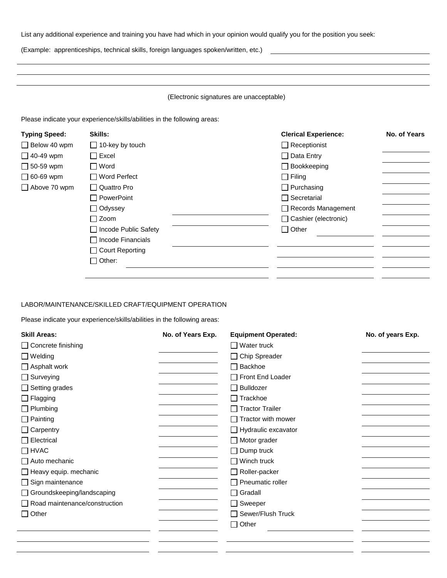List any additional experience and training you have had which in your opinion would qualify you for the position you seek:

(Example: apprenticeships, technical skills, foreign languages spoken/written, etc.)

### (Electronic signatures are unacceptable)

Please indicate your experience/skills/abilities in the following areas:

| <b>Typing Speed:</b> | Skills:                  | <b>Clerical Experience:</b> | No. of Years |
|----------------------|--------------------------|-----------------------------|--------------|
| $\Box$ Below 40 wpm  | $\Box$ 10-key by touch   | $\Box$ Receptionist         |              |
| $\Box$ 40-49 wpm     | $\Box$ Excel             | $\Box$ Data Entry           |              |
| $\Box$ 50-59 wpm     | $\Box$ Word              | $\Box$ Bookkeeping          |              |
| $\Box$ 60-69 wpm     | $\Box$ Word Perfect      | $\Box$ Filing               |              |
| $\Box$ Above 70 wpm  | □ Quattro Pro            | $\Box$ Purchasing           |              |
|                      | □ PowerPoint             | $\Box$ Secretarial          |              |
|                      | $\Box$ Odyssey           | $\Box$ Records Management   |              |
|                      | $\Box$ Zoom              | Cashier (electronic)        |              |
|                      | □ Incode Public Safety   | $\Box$ Other                |              |
|                      | $\Box$ Incode Financials |                             |              |
|                      | □ Court Reporting        |                             |              |
|                      | $\Box$ Other:            |                             |              |
|                      |                          |                             |              |

#### LABOR/MAINTENANCE/SKILLED CRAFT/EQUIPMENT OPERATION

Please indicate your experience/skills/abilities in the following areas:

| <b>Skill Areas:</b>                  | No. of Years Exp. | <b>Equipment Operated:</b>       | No. of years Exp. |
|--------------------------------------|-------------------|----------------------------------|-------------------|
| □ Concrete finishing                 |                   | <b>□ Water truck</b>             |                   |
| $\Box$ Welding                       |                   | □ Chip Spreader                  |                   |
| $\Box$ Asphalt work                  |                   | Backhoe                          |                   |
| $\Box$ Surveying                     |                   | Front End Loader                 |                   |
| $\Box$ Setting grades                |                   | Bulldozer                        |                   |
| $\Box$ Flagging                      |                   | $\Box$ Trackhoe                  |                   |
| $\Box$ Plumbing                      |                   | □ Tractor Trailer                |                   |
| $\Box$ Painting                      |                   | $\Box$ Tractor with mower        |                   |
| $\Box$ Carpentry                     |                   | $\Box$ Hydraulic excavator       |                   |
| $\Box$ Electrical                    |                   | $\Box$ Motor grader              |                   |
| $\Box$ HVAC                          |                   | $\Box$ Dump truck                |                   |
| Auto mechanic                        |                   | $\Box$ Winch truck               |                   |
| $\Box$ Heavy equip. mechanic         |                   | Roller-packer                    |                   |
| $\Box$ Sign maintenance              |                   | Pneumatic roller<br>$\mathbf{I}$ |                   |
| $\Box$ Groundskeeping/landscaping    |                   | $\Box$ Gradall                   |                   |
| $\Box$ Road maintenance/construction |                   | □ Sweeper                        |                   |
| $\Box$ Other                         |                   | Sewer/Flush Truck                |                   |
|                                      |                   | $\Box$ Other                     |                   |
|                                      |                   |                                  |                   |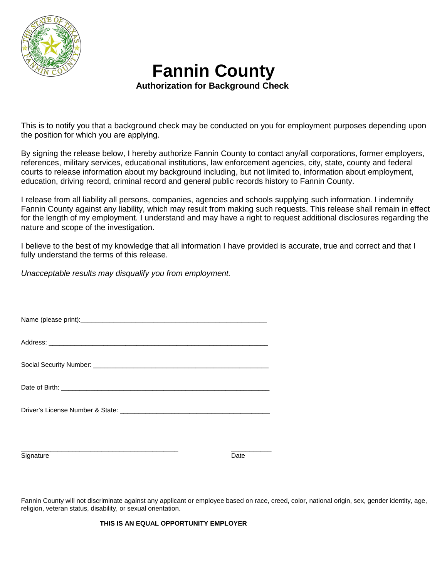

## **Fannin County**<br>Authorization for Background Check

This is to notify you that a background check may be conducted on you for employment purposes depending upon the position for which you are applying.

By signing the release below, I hereby authorize Fannin County to contact any/all corporations, former employers, references, military services, educational institutions, law enforcement agencies, city, state, county and federal courts to release information about my background including, but not limited to, information about employment, education, driving record, criminal record and general public records history to Fannin County.

I release from all liability all persons, companies, agencies and schools supplying such information. I indemnify Fannin County against any liability, which may result from making such requests. This release shall remain in effect for the length of my employment. I understand and may have a right to request additional disclosures regarding the nature and scope of the investigation.

I believe to the best of my knowledge that all information I have provided is accurate, true and correct and that I fully understand the terms of this release.

*Unacceptable results may disqualify you from employment.*

| Name (please print): |  |  |
|----------------------|--|--|
|                      |  |  |

Address:

| Social Security Number: |  |
|-------------------------|--|
|                         |  |

Date of Birth: **with a structure of the structure of Birth:**  $\overline{a}$ 

Driver's License Number & State: \_\_\_\_\_\_\_\_\_\_\_\_\_\_\_\_\_\_\_\_\_\_\_\_\_\_\_\_\_\_\_\_\_\_\_\_\_\_\_\_\_

 $\_$  , and the set of the set of the set of the set of the set of the set of the set of the set of the set of the set of the set of the set of the set of the set of the set of the set of the set of the set of the set of th Signature Date

Fannin County will not discriminate against any applicant or employee based on race, creed, color, national origin, sex, gender identity, age, religion, veteran status, disability, or sexual orientation.

**THIS IS AN EQUAL OPPORTUNITY EMPLOYER**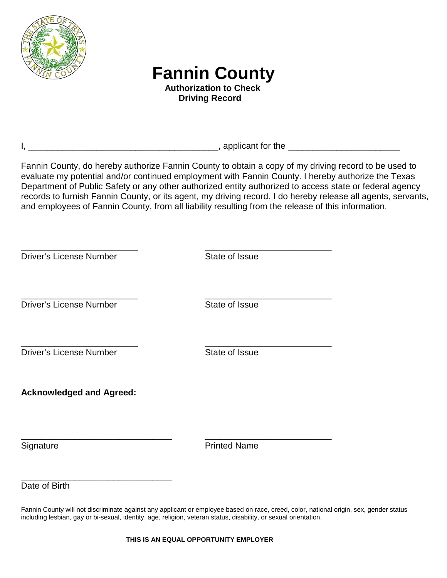

# **Fannin County**<br>Authorization to Check

 **Driving Record**

I, \_\_\_\_\_\_\_\_\_\_\_\_\_\_\_\_\_\_\_\_\_\_\_\_\_\_\_\_\_\_\_\_\_\_\_\_\_\_\_, applicant for the \_\_\_\_\_\_\_\_\_\_\_\_\_\_\_\_\_\_\_\_\_\_\_

Fannin County, do hereby authorize Fannin County to obtain a copy of my driving record to be used to evaluate my potential and/or continued employment with Fannin County. I hereby authorize the Texas Department of Public Safety or any other authorized entity authorized to access state or federal agency records to furnish Fannin County, or its agent, my driving record. I do hereby release all agents, servants, and employees of Fannin County, from all liability resulting from the release of this information.

| <b>Driver's License Number</b>  | State of Issue      |
|---------------------------------|---------------------|
| <b>Driver's License Number</b>  | State of Issue      |
| <b>Driver's License Number</b>  | State of Issue      |
| <b>Acknowledged and Agreed:</b> |                     |
| Signature                       | <b>Printed Name</b> |
| Date of Birth                   |                     |

Fannin County will not discriminate against any applicant or employee based on race, creed, color, national origin, sex, gender status including lesbian, gay or bi-sexual, identity, age, religion, veteran status, disability, or sexual orientation.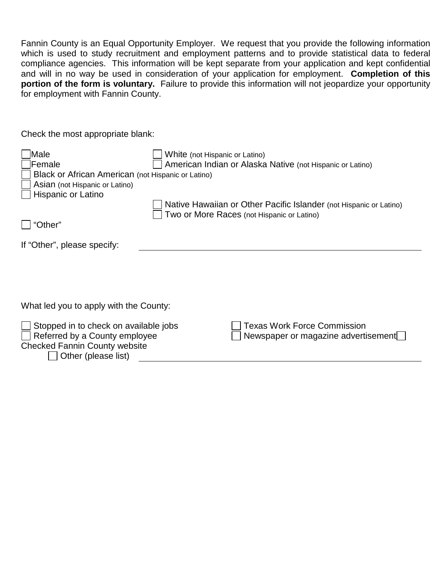Fannin County is an Equal Opportunity Employer. We request that you provide the following information which is used to study recruitment and employment patterns and to provide statistical data to federal compliance agencies. This information will be kept separate from your application and kept confidential and will in no way be used in consideration of your application for employment. **Completion of this portion of the form is voluntary.** Failure to provide this information will not jeopardize your opportunity for employment with Fannin County.

Check the most appropriate blank:

Other (please list)

| Male<br>lFemale                                                                                                | White (not Hispanic or Latino) | American Indian or Alaska Native (not Hispanic or Latino)                                                        |
|----------------------------------------------------------------------------------------------------------------|--------------------------------|------------------------------------------------------------------------------------------------------------------|
| Black or African American (not Hispanic or Latino)                                                             |                                |                                                                                                                  |
| Asian (not Hispanic or Latino)                                                                                 |                                |                                                                                                                  |
| Hispanic or Latino                                                                                             |                                |                                                                                                                  |
|                                                                                                                |                                | Native Hawaiian or Other Pacific Islander (not Hispanic or Latino)<br>Two or More Races (not Hispanic or Latino) |
| "Other"                                                                                                        |                                |                                                                                                                  |
| If "Other", please specify:                                                                                    |                                |                                                                                                                  |
|                                                                                                                |                                |                                                                                                                  |
| What led you to apply with the County:                                                                         |                                |                                                                                                                  |
| Stopped in to check on available jobs<br>Referred by a County employee<br><b>Checked Fannin County website</b> |                                | <b>Texas Work Force Commission</b><br>Newspaper or magazine advertisement                                        |